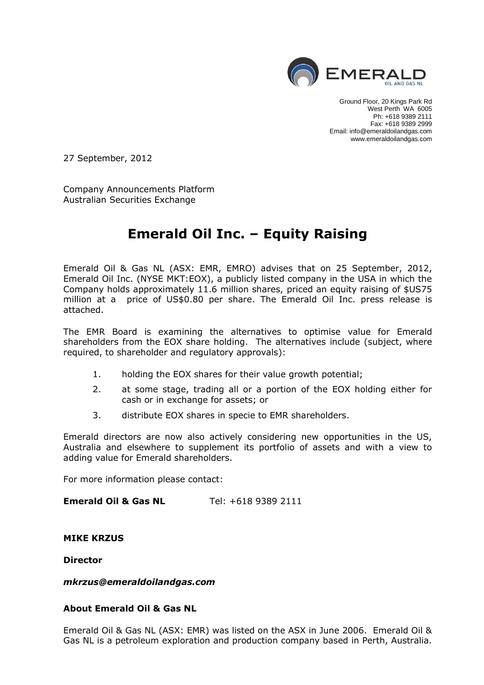

Ground Floor, 20 Kings Park Rd West Perth WA 6005 Ph: +618 9389 2111 Fax: +618 9389 2999 Email: info@emeraldoilandgas.com www.emeraldoilandgas.com

27 September, 2012

Company Announcements Platform Australian Securities Exchange

# **Emerald Oil Inc. – Equity Raising**

Emerald Oil & Gas NL (ASX: EMR, EMRO) advises that on 25 September, 2012, Emerald Oil Inc. (NYSE MKT:EOX), a publicly listed company in the USA in which the Company holds approximately 11.6 million shares, priced an equity raising of \$US75 million at a price of US\$0.80 per share. The Emerald Oil Inc. press release is attached.

The EMR Board is examining the alternatives to optimise value for Emerald shareholders from the EOX share holding. The alternatives include (subject, where required, to shareholder and regulatory approvals):

- 1. holding the EOX shares for their value growth potential;
- 2. at some stage, trading all or a portion of the EOX holding either for cash or in exchange for assets; or
- 3. distribute EOX shares in specie to EMR shareholders.

Emerald directors are now also actively considering new opportunities in the US, Australia and elsewhere to supplement its portfolio of assets and with a view to adding value for Emerald shareholders.

For more information please contact:

**Emerald Oil & Gas NL** Tel: +618 9389 2111

# **MIKE KRZUS**

**Director**

## *mkrzus@emeraldoilandgas.com*

# **About Emerald Oil & Gas NL**

Emerald Oil & Gas NL (ASX: EMR) was listed on the ASX in June 2006. Emerald Oil & Gas NL is a petroleum exploration and production company based in Perth, Australia.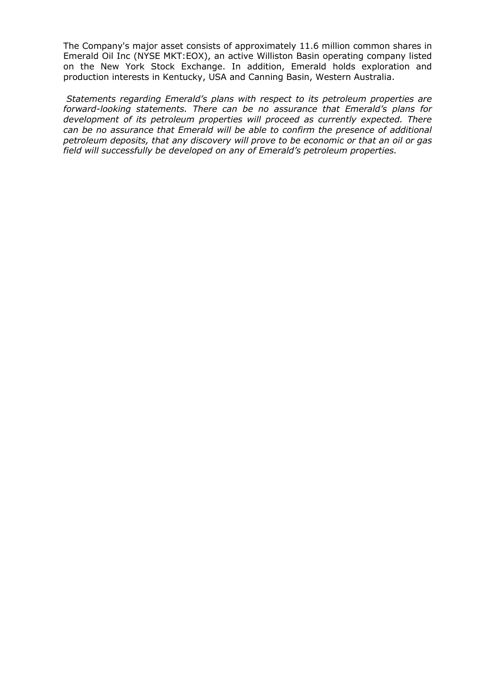The Company's major asset consists of approximately 11.6 million common shares in Emerald Oil Inc (NYSE MKT:EOX), an active Williston Basin operating company listed on the New York Stock Exchange. In addition, Emerald holds exploration and production interests in Kentucky, USA and Canning Basin, Western Australia.

*Statements regarding Emerald's plans with respect to its petroleum properties are forward-looking statements. There can be no assurance that Emerald's plans for development of its petroleum properties will proceed as currently expected. There can be no assurance that Emerald will be able to confirm the presence of additional petroleum deposits, that any discovery will prove to be economic or that an oil or gas field will successfully be developed on any of Emerald's petroleum properties.*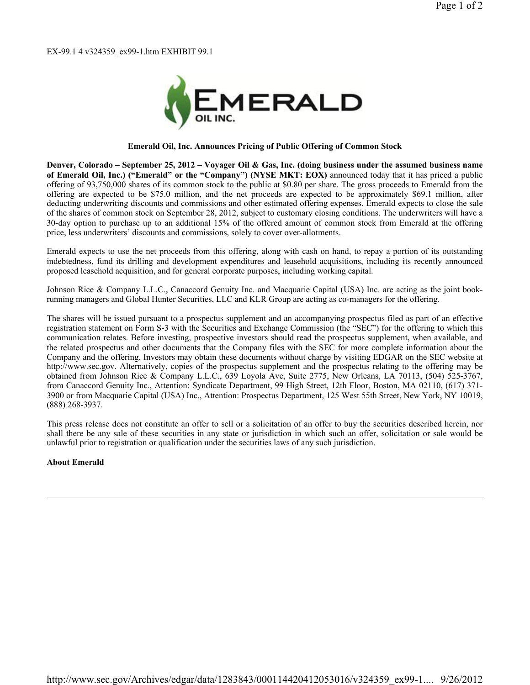EX-99.1 4 v324359\_ex99-1.htm EXHIBIT 99.1



#### **Emerald Oil, Inc. Announces Pricing of Public Offering of Common Stock**

**Denver, Colorado – September 25, 2012 – Voyager Oil & Gas, Inc. (doing business under the assumed business name of Emerald Oil, Inc.) ("Emerald" or the "Company") (NYSE MKT: EOX)** announced today that it has priced a public offering of 93,750,000 shares of its common stock to the public at \$0.80 per share. The gross proceeds to Emerald from the offering are expected to be \$75.0 million, and the net proceeds are expected to be approximately \$69.1 million, after deducting underwriting discounts and commissions and other estimated offering expenses. Emerald expects to close the sale of the shares of common stock on September 28, 2012, subject to customary closing conditions. The underwriters will have a 30-day option to purchase up to an additional 15% of the offered amount of common stock from Emerald at the offering price, less underwriters' discounts and commissions, solely to cover over-allotments.

Emerald expects to use the net proceeds from this offering, along with cash on hand, to repay a portion of its outstanding indebtedness, fund its drilling and development expenditures and leasehold acquisitions, including its recently announced proposed leasehold acquisition, and for general corporate purposes, including working capital.

Johnson Rice & Company L.L.C., Canaccord Genuity Inc. and Macquarie Capital (USA) Inc. are acting as the joint bookrunning managers and Global Hunter Securities, LLC and KLR Group are acting as co-managers for the offering.

The shares will be issued pursuant to a prospectus supplement and an accompanying prospectus filed as part of an effective registration statement on Form S-3 with the Securities and Exchange Commission (the "SEC") for the offering to which this communication relates. Before investing, prospective investors should read the prospectus supplement, when available, and the related prospectus and other documents that the Company files with the SEC for more complete information about the Company and the offering. Investors may obtain these documents without charge by visiting EDGAR on the SEC website at http://www.sec.gov. Alternatively, copies of the prospectus supplement and the prospectus relating to the offering may be obtained from Johnson Rice & Company L.L.C., 639 Loyola Ave, Suite 2775, New Orleans, LA 70113, (504) 525-3767, from Canaccord Genuity Inc., Attention: Syndicate Department, 99 High Street, 12th Floor, Boston, MA 02110, (617) 371- 3900 or from Macquarie Capital (USA) Inc., Attention: Prospectus Department, 125 West 55th Street, New York, NY 10019, (888) 268-3937.

This press release does not constitute an offer to sell or a solicitation of an offer to buy the securities described herein, nor shall there be any sale of these securities in any state or jurisdiction in which such an offer, solicitation or sale would be unlawful prior to registration or qualification under the securities laws of any such jurisdiction.

### **About Emerald**